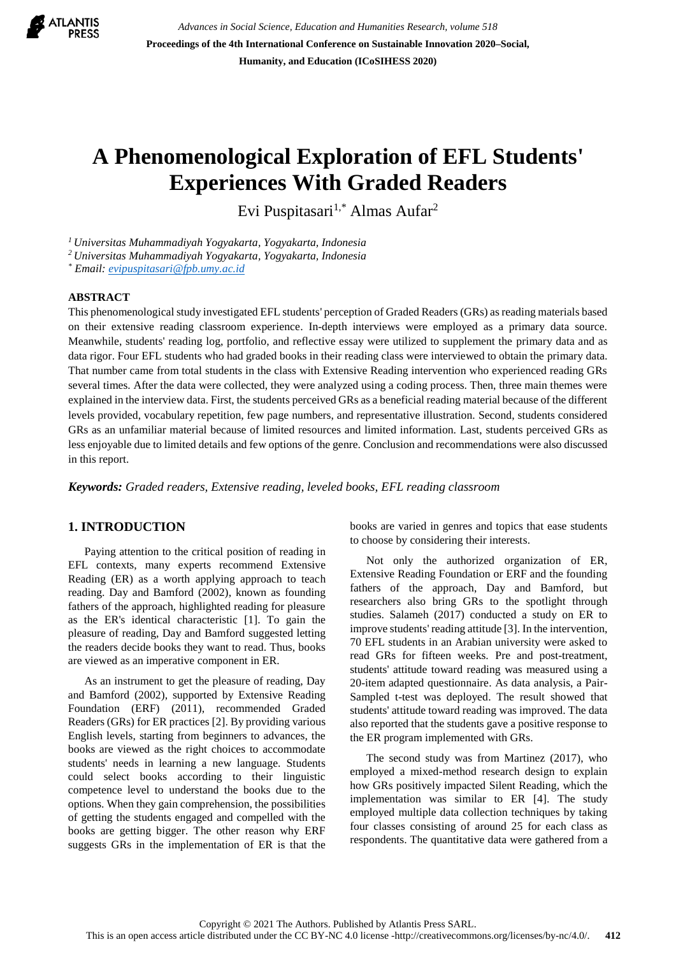

*Advances in Social Science, Education and Humanities Research, volume 518* **Proceedings of the 4th International Conference on Sustainable Innovation 2020–Social, Humanity, and Education (ICoSIHESS 2020)**

# **A Phenomenological Exploration of EFL Students' Experiences With Graded Readers**

Evi Puspitasari<sup>1,\*</sup> Almas Aufar<sup>2</sup>

*<sup>1</sup>Universitas Muhammadiyah Yogyakarta, Yogyakarta, Indonesia*

*<sup>2</sup>Universitas Muhammadiyah Yogyakarta, Yogyakarta, Indonesia*

*\* Email[: evipuspitasari@fpb.umy.ac.id](mailto:evipuspitasari@fpb.umy.ac.id)*

## **ABSTRACT**

This phenomenological study investigated EFL students' perception of Graded Readers (GRs) as reading materials based on their extensive reading classroom experience. In-depth interviews were employed as a primary data source. Meanwhile, students' reading log, portfolio, and reflective essay were utilized to supplement the primary data and as data rigor. Four EFL students who had graded books in their reading class were interviewed to obtain the primary data. That number came from total students in the class with Extensive Reading intervention who experienced reading GRs several times. After the data were collected, they were analyzed using a coding process. Then, three main themes were explained in the interview data. First, the students perceived GRs as a beneficial reading material because of the different levels provided, vocabulary repetition, few page numbers, and representative illustration. Second, students considered GRs as an unfamiliar material because of limited resources and limited information. Last, students perceived GRs as less enjoyable due to limited details and few options of the genre. Conclusion and recommendations were also discussed in this report.

*Keywords: Graded readers, Extensive reading, leveled books, EFL reading classroom*

# **1. INTRODUCTION**

Paying attention to the critical position of reading in EFL contexts, many experts recommend Extensive Reading (ER) as a worth applying approach to teach reading. Day and Bamford (2002), known as founding fathers of the approach, highlighted reading for pleasure as the ER's identical characteristic [1]. To gain the pleasure of reading, Day and Bamford suggested letting the readers decide books they want to read. Thus, books are viewed as an imperative component in ER.

As an instrument to get the pleasure of reading, Day and Bamford (2002), supported by Extensive Reading Foundation (ERF) (2011), recommended Graded Readers (GRs) for ER practices [2]. By providing various English levels, starting from beginners to advances, the books are viewed as the right choices to accommodate students' needs in learning a new language. Students could select books according to their linguistic competence level to understand the books due to the options. When they gain comprehension, the possibilities of getting the students engaged and compelled with the books are getting bigger. The other reason why ERF suggests GRs in the implementation of ER is that the books are varied in genres and topics that ease students to choose by considering their interests.

Not only the authorized organization of ER, Extensive Reading Foundation or ERF and the founding fathers of the approach, Day and Bamford, but researchers also bring GRs to the spotlight through studies. Salameh (2017) conducted a study on ER to improve students' reading attitude [3]. In the intervention, 70 EFL students in an Arabian university were asked to read GRs for fifteen weeks. Pre and post-treatment, students' attitude toward reading was measured using a 20-item adapted questionnaire. As data analysis, a Pair-Sampled t-test was deployed. The result showed that students' attitude toward reading was improved. The data also reported that the students gave a positive response to the ER program implemented with GRs.

The second study was from Martinez (2017), who employed a mixed-method research design to explain how GRs positively impacted Silent Reading, which the implementation was similar to ER [4]. The study employed multiple data collection techniques by taking four classes consisting of around 25 for each class as respondents. The quantitative data were gathered from a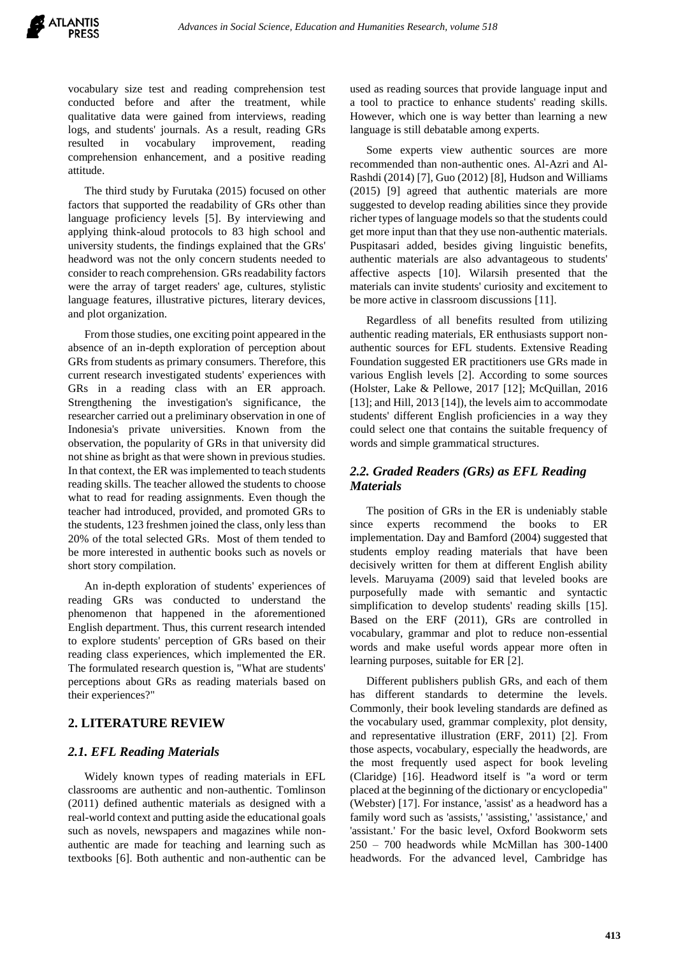vocabulary size test and reading comprehension test conducted before and after the treatment, while qualitative data were gained from interviews, reading logs, and students' journals. As a result, reading GRs resulted in vocabulary improvement, reading comprehension enhancement, and a positive reading attitude.

The third study by Furutaka (2015) focused on other factors that supported the readability of GRs other than language proficiency levels [5]. By interviewing and applying think-aloud protocols to 83 high school and university students, the findings explained that the GRs' headword was not the only concern students needed to consider to reach comprehension. GRs readability factors were the array of target readers' age, cultures, stylistic language features, illustrative pictures, literary devices, and plot organization.

From those studies, one exciting point appeared in the absence of an in-depth exploration of perception about GRs from students as primary consumers. Therefore, this current research investigated students' experiences with GRs in a reading class with an ER approach. Strengthening the investigation's significance, the researcher carried out a preliminary observation in one of Indonesia's private universities. Known from the observation, the popularity of GRs in that university did not shine as bright as that were shown in previous studies. In that context, the ER was implemented to teach students reading skills. The teacher allowed the students to choose what to read for reading assignments. Even though the teacher had introduced, provided, and promoted GRs to the students, 123 freshmen joined the class, only less than 20% of the total selected GRs. Most of them tended to be more interested in authentic books such as novels or short story compilation.

An in-depth exploration of students' experiences of reading GRs was conducted to understand the phenomenon that happened in the aforementioned English department. Thus, this current research intended to explore students' perception of GRs based on their reading class experiences, which implemented the ER. The formulated research question is, "What are students' perceptions about GRs as reading materials based on their experiences?"

# **2. LITERATURE REVIEW**

## *2.1. EFL Reading Materials*

Widely known types of reading materials in EFL classrooms are authentic and non-authentic. Tomlinson (2011) defined authentic materials as designed with a real-world context and putting aside the educational goals such as novels, newspapers and magazines while nonauthentic are made for teaching and learning such as textbooks [6]. Both authentic and non-authentic can be used as reading sources that provide language input and a tool to practice to enhance students' reading skills. However, which one is way better than learning a new language is still debatable among experts.

Some experts view authentic sources are more recommended than non-authentic ones. Al-Azri and Al-Rashdi (2014) [7], Guo (2012) [8], Hudson and Williams (2015) [9] agreed that authentic materials are more suggested to develop reading abilities since they provide richer types of language models so that the students could get more input than that they use non-authentic materials. Puspitasari added, besides giving linguistic benefits, authentic materials are also advantageous to students' affective aspects [10]. Wilarsih presented that the materials can invite students' curiosity and excitement to be more active in classroom discussions [11].

Regardless of all benefits resulted from utilizing authentic reading materials, ER enthusiasts support nonauthentic sources for EFL students. Extensive Reading Foundation suggested ER practitioners use GRs made in various English levels [2]. According to some sources (Holster, Lake & Pellowe, 2017 [12]; McQuillan, 2016 [13]; and Hill, 2013 [14]), the levels aim to accommodate students' different English proficiencies in a way they could select one that contains the suitable frequency of words and simple grammatical structures.

# *2.2. Graded Readers (GRs) as EFL Reading Materials*

The position of GRs in the ER is undeniably stable since experts recommend the books to ER implementation. Day and Bamford (2004) suggested that students employ reading materials that have been decisively written for them at different English ability levels. Maruyama (2009) said that leveled books are purposefully made with semantic and syntactic simplification to develop students' reading skills [15]. Based on the ERF (2011), GRs are controlled in vocabulary, grammar and plot to reduce non-essential words and make useful words appear more often in learning purposes, suitable for ER [2].

Different publishers publish GRs, and each of them has different standards to determine the levels. Commonly, their book leveling standards are defined as the vocabulary used, grammar complexity, plot density, and representative illustration (ERF, 2011) [2]. From those aspects, vocabulary, especially the headwords, are the most frequently used aspect for book leveling (Claridge) [16]. Headword itself is "a word or term placed at the beginning of the dictionary or encyclopedia" (Webster) [17]. For instance, 'assist' as a headword has a family word such as 'assists,' 'assisting,' 'assistance,' and 'assistant.' For the basic level, Oxford Bookworm sets 250 – 700 headwords while McMillan has 300-1400 headwords. For the advanced level, Cambridge has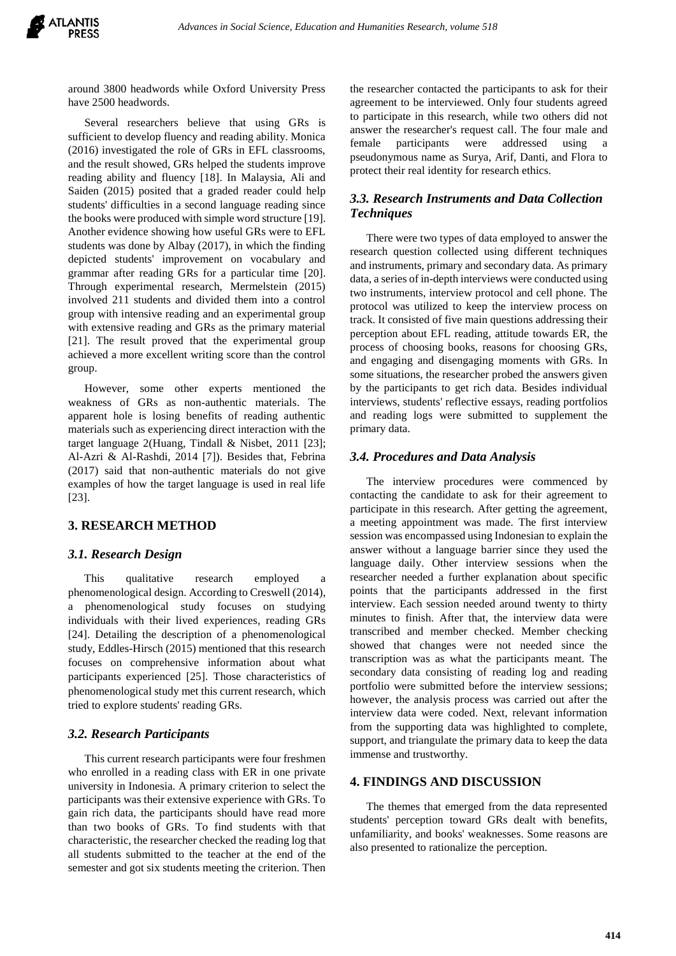around 3800 headwords while Oxford University Press have 2500 headwords.

Several researchers believe that using GRs is sufficient to develop fluency and reading ability. Monica (2016) investigated the role of GRs in EFL classrooms, and the result showed, GRs helped the students improve reading ability and fluency [18]. In Malaysia, Ali and Saiden (2015) posited that a graded reader could help students' difficulties in a second language reading since the books were produced with simple word structure [19]. Another evidence showing how useful GRs were to EFL students was done by Albay (2017), in which the finding depicted students' improvement on vocabulary and grammar after reading GRs for a particular time [20]. Through experimental research, Mermelstein (2015) involved 211 students and divided them into a control group with intensive reading and an experimental group with extensive reading and GRs as the primary material [21]. The result proved that the experimental group achieved a more excellent writing score than the control group.

However, some other experts mentioned the weakness of GRs as non-authentic materials. The apparent hole is losing benefits of reading authentic materials such as experiencing direct interaction with the target language 2(Huang, Tindall & Nisbet, 2011 [23]; Al-Azri & Al-Rashdi, 2014 [7]). Besides that, Febrina (2017) said that non-authentic materials do not give examples of how the target language is used in real life [23].

# **3. RESEARCH METHOD**

## *3.1. Research Design*

This qualitative research employed a phenomenological design. According to Creswell (2014), a phenomenological study focuses on studying individuals with their lived experiences, reading GRs [24]. Detailing the description of a phenomenological study, Eddles-Hirsch (2015) mentioned that this research focuses on comprehensive information about what participants experienced [25]. Those characteristics of phenomenological study met this current research, which tried to explore students' reading GRs.

#### *3.2. Research Participants*

This current research participants were four freshmen who enrolled in a reading class with ER in one private university in Indonesia. A primary criterion to select the participants was their extensive experience with GRs. To gain rich data, the participants should have read more than two books of GRs. To find students with that characteristic, the researcher checked the reading log that all students submitted to the teacher at the end of the semester and got six students meeting the criterion. Then

the researcher contacted the participants to ask for their agreement to be interviewed. Only four students agreed to participate in this research, while two others did not answer the researcher's request call. The four male and female participants were addressed using a pseudonymous name as Surya, Arif, Danti, and Flora to protect their real identity for research ethics.

# *3.3. Research Instruments and Data Collection Techniques*

There were two types of data employed to answer the research question collected using different techniques and instruments, primary and secondary data. As primary data, a series of in-depth interviews were conducted using two instruments, interview protocol and cell phone. The protocol was utilized to keep the interview process on track. It consisted of five main questions addressing their perception about EFL reading, attitude towards ER, the process of choosing books, reasons for choosing GRs, and engaging and disengaging moments with GRs. In some situations, the researcher probed the answers given by the participants to get rich data. Besides individual interviews, students' reflective essays, reading portfolios and reading logs were submitted to supplement the primary data.

#### *3.4. Procedures and Data Analysis*

The interview procedures were commenced by contacting the candidate to ask for their agreement to participate in this research. After getting the agreement, a meeting appointment was made. The first interview session was encompassed using Indonesian to explain the answer without a language barrier since they used the language daily. Other interview sessions when the researcher needed a further explanation about specific points that the participants addressed in the first interview. Each session needed around twenty to thirty minutes to finish. After that, the interview data were transcribed and member checked. Member checking showed that changes were not needed since the transcription was as what the participants meant. The secondary data consisting of reading log and reading portfolio were submitted before the interview sessions; however, the analysis process was carried out after the interview data were coded. Next, relevant information from the supporting data was highlighted to complete, support, and triangulate the primary data to keep the data immense and trustworthy.

#### **4. FINDINGS AND DISCUSSION**

The themes that emerged from the data represented students' perception toward GRs dealt with benefits, unfamiliarity, and books' weaknesses. Some reasons are also presented to rationalize the perception.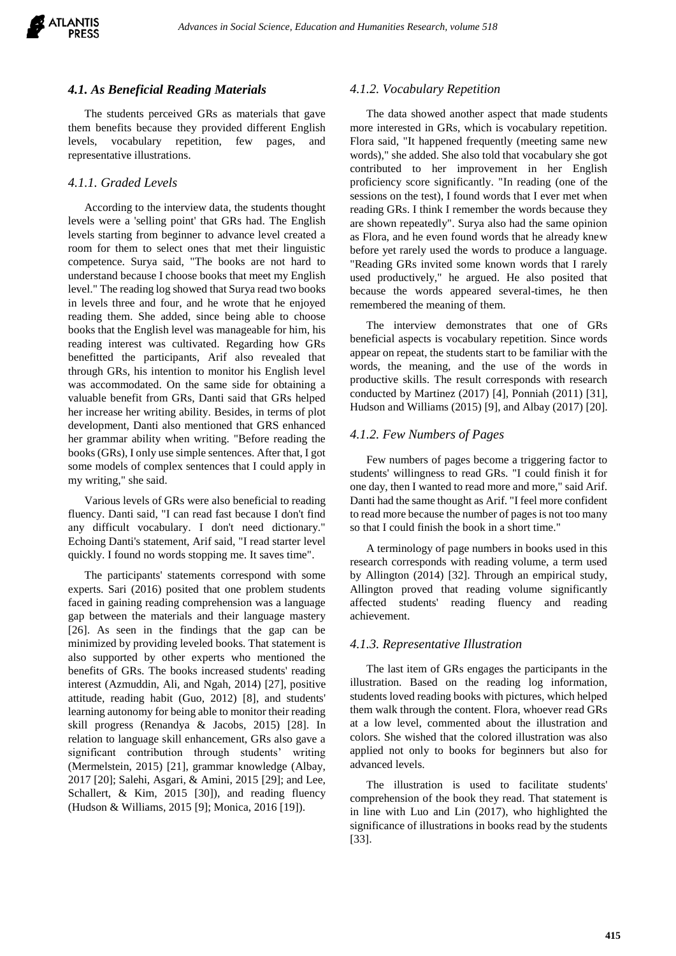

#### *4.1. As Beneficial Reading Materials*

The students perceived GRs as materials that gave them benefits because they provided different English levels, vocabulary repetition, few pages, and representative illustrations.

## *4.1.1. Graded Levels*

According to the interview data, the students thought levels were a 'selling point' that GRs had. The English levels starting from beginner to advance level created a room for them to select ones that met their linguistic competence. Surya said, "The books are not hard to understand because I choose books that meet my English level." The reading log showed that Surya read two books in levels three and four, and he wrote that he enjoyed reading them. She added, since being able to choose books that the English level was manageable for him, his reading interest was cultivated. Regarding how GRs benefitted the participants, Arif also revealed that through GRs, his intention to monitor his English level was accommodated. On the same side for obtaining a valuable benefit from GRs, Danti said that GRs helped her increase her writing ability. Besides, in terms of plot development, Danti also mentioned that GRS enhanced her grammar ability when writing. "Before reading the books (GRs), I only use simple sentences. After that, I got some models of complex sentences that I could apply in my writing," she said.

Various levels of GRs were also beneficial to reading fluency. Danti said, "I can read fast because I don't find any difficult vocabulary. I don't need dictionary." Echoing Danti's statement, Arif said, "I read starter level quickly. I found no words stopping me. It saves time".

The participants' statements correspond with some experts. Sari (2016) posited that one problem students faced in gaining reading comprehension was a language gap between the materials and their language mastery [26]. As seen in the findings that the gap can be minimized by providing leveled books. That statement is also supported by other experts who mentioned the benefits of GRs. The books increased students' reading interest (Azmuddin, Ali, and Ngah, 2014) [27], positive attitude, reading habit (Guo, 2012) [8], and students' learning autonomy for being able to monitor their reading skill progress (Renandya & Jacobs, 2015) [28]. In relation to language skill enhancement, GRs also gave a significant contribution through students' writing (Mermelstein, 2015) [21], grammar knowledge (Albay, 2017 [20]; Salehi, Asgari, & Amini, 2015 [29]; and Lee, Schallert, & Kim, 2015 [30]), and reading fluency (Hudson & Williams, 2015 [9]; Monica, 2016 [19]).

#### *4.1.2. Vocabulary Repetition*

The data showed another aspect that made students more interested in GRs, which is vocabulary repetition. Flora said, "It happened frequently (meeting same new words)," she added. She also told that vocabulary she got contributed to her improvement in her English proficiency score significantly. "In reading (one of the sessions on the test), I found words that I ever met when reading GRs. I think I remember the words because they are shown repeatedly". Surya also had the same opinion as Flora, and he even found words that he already knew before yet rarely used the words to produce a language. "Reading GRs invited some known words that I rarely used productively," he argued. He also posited that because the words appeared several-times, he then remembered the meaning of them.

The interview demonstrates that one of GRs beneficial aspects is vocabulary repetition. Since words appear on repeat, the students start to be familiar with the words, the meaning, and the use of the words in productive skills. The result corresponds with research conducted by Martinez (2017) [4], Ponniah (2011) [31], Hudson and Williams (2015) [9], and Albay (2017) [20].

#### *4.1.2. Few Numbers of Pages*

Few numbers of pages become a triggering factor to students' willingness to read GRs. "I could finish it for one day, then I wanted to read more and more," said Arif. Danti had the same thought as Arif. "I feel more confident to read more because the number of pages is not too many so that I could finish the book in a short time."

A terminology of page numbers in books used in this research corresponds with reading volume, a term used by Allington (2014) [32]. Through an empirical study, Allington proved that reading volume significantly affected students' reading fluency and reading achievement.

#### *4.1.3. Representative Illustration*

The last item of GRs engages the participants in the illustration. Based on the reading log information, students loved reading books with pictures, which helped them walk through the content. Flora, whoever read GRs at a low level, commented about the illustration and colors. She wished that the colored illustration was also applied not only to books for beginners but also for advanced levels.

The illustration is used to facilitate students' comprehension of the book they read. That statement is in line with Luo and Lin (2017), who highlighted the significance of illustrations in books read by the students [33].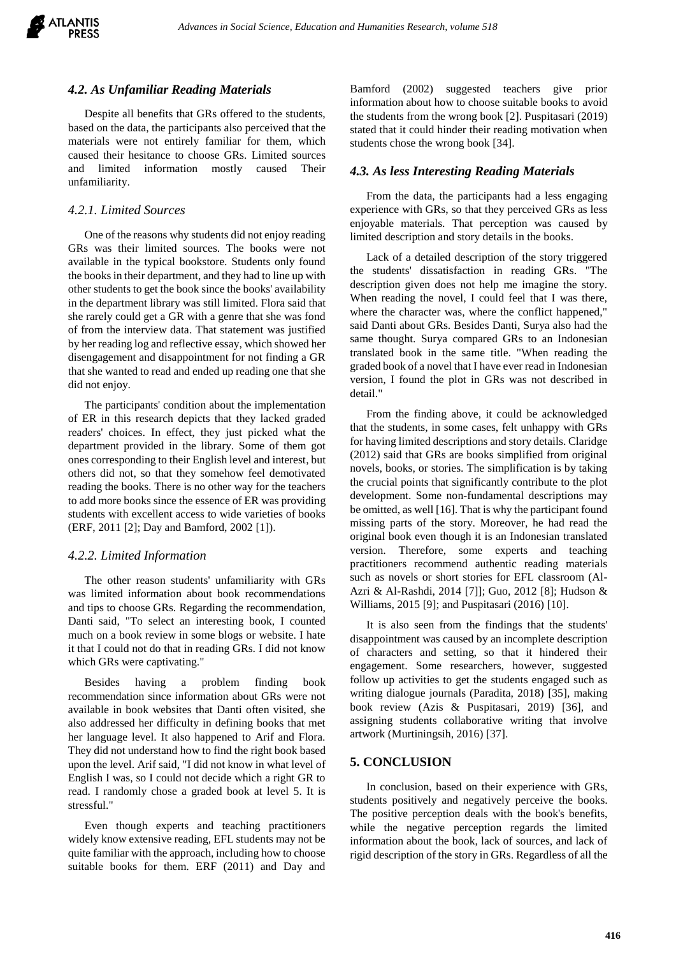

#### *4.2. As Unfamiliar Reading Materials*

Despite all benefits that GRs offered to the students, based on the data, the participants also perceived that the materials were not entirely familiar for them, which caused their hesitance to choose GRs. Limited sources and limited information mostly caused Their unfamiliarity.

#### *4.2.1. Limited Sources*

One of the reasons why students did not enjoy reading GRs was their limited sources. The books were not available in the typical bookstore. Students only found the books in their department, and they had to line up with other students to get the book since the books' availability in the department library was still limited. Flora said that she rarely could get a GR with a genre that she was fond of from the interview data. That statement was justified by her reading log and reflective essay, which showed her disengagement and disappointment for not finding a GR that she wanted to read and ended up reading one that she did not enjoy.

The participants' condition about the implementation of ER in this research depicts that they lacked graded readers' choices. In effect, they just picked what the department provided in the library. Some of them got ones corresponding to their English level and interest, but others did not, so that they somehow feel demotivated reading the books. There is no other way for the teachers to add more books since the essence of ER was providing students with excellent access to wide varieties of books (ERF, 2011 [2]; Day and Bamford, 2002 [1]).

#### *4.2.2. Limited Information*

The other reason students' unfamiliarity with GRs was limited information about book recommendations and tips to choose GRs. Regarding the recommendation, Danti said, "To select an interesting book, I counted much on a book review in some blogs or website. I hate it that I could not do that in reading GRs. I did not know which GRs were captivating."

Besides having a problem finding book recommendation since information about GRs were not available in book websites that Danti often visited, she also addressed her difficulty in defining books that met her language level. It also happened to Arif and Flora. They did not understand how to find the right book based upon the level. Arif said, "I did not know in what level of English I was, so I could not decide which a right GR to read. I randomly chose a graded book at level 5. It is stressful."

Even though experts and teaching practitioners widely know extensive reading, EFL students may not be quite familiar with the approach, including how to choose suitable books for them. ERF (2011) and Day and

Bamford (2002) suggested teachers give prior information about how to choose suitable books to avoid the students from the wrong book [2]. Puspitasari (2019) stated that it could hinder their reading motivation when students chose the wrong book [34].

#### *4.3. As less Interesting Reading Materials*

From the data, the participants had a less engaging experience with GRs, so that they perceived GRs as less enjoyable materials. That perception was caused by limited description and story details in the books.

Lack of a detailed description of the story triggered the students' dissatisfaction in reading GRs. "The description given does not help me imagine the story. When reading the novel, I could feel that I was there, where the character was, where the conflict happened," said Danti about GRs. Besides Danti, Surya also had the same thought. Surya compared GRs to an Indonesian translated book in the same title. "When reading the graded book of a novel that I have ever read in Indonesian version, I found the plot in GRs was not described in detail."

From the finding above, it could be acknowledged that the students, in some cases, felt unhappy with GRs for having limited descriptions and story details. Claridge (2012) said that GRs are books simplified from original novels, books, or stories. The simplification is by taking the crucial points that significantly contribute to the plot development. Some non-fundamental descriptions may be omitted, as well [16]. That is why the participant found missing parts of the story. Moreover, he had read the original book even though it is an Indonesian translated version. Therefore, some experts and teaching practitioners recommend authentic reading materials such as novels or short stories for EFL classroom (Al-Azri & Al-Rashdi, 2014 [7]]; Guo, 2012 [8]; Hudson & Williams, 2015 [9]; and Puspitasari (2016) [10].

It is also seen from the findings that the students' disappointment was caused by an incomplete description of characters and setting, so that it hindered their engagement. Some researchers, however, suggested follow up activities to get the students engaged such as writing dialogue journals (Paradita, 2018) [35], making book review (Azis & Puspitasari, 2019) [36], and assigning students collaborative writing that involve artwork (Murtiningsih, 2016) [37].

## **5. CONCLUSION**

In conclusion, based on their experience with GRs, students positively and negatively perceive the books. The positive perception deals with the book's benefits, while the negative perception regards the limited information about the book, lack of sources, and lack of rigid description of the story in GRs. Regardless of all the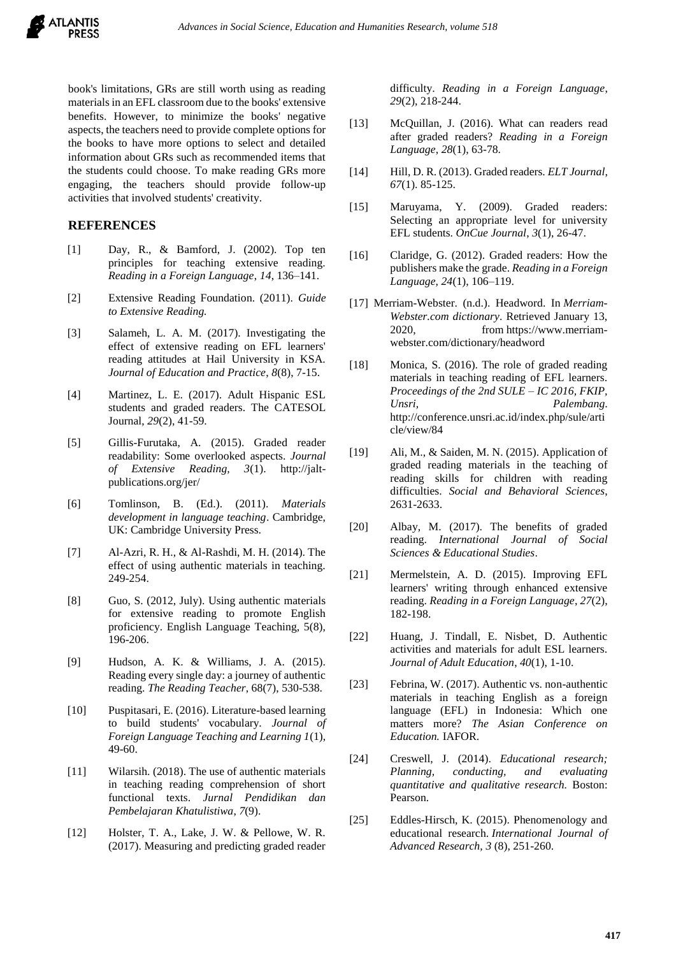

book's limitations, GRs are still worth using as reading materials in an EFL classroom due to the books' extensive benefits. However, to minimize the books' negative aspects, the teachers need to provide complete options for the books to have more options to select and detailed information about GRs such as recommended items that the students could choose. To make reading GRs more engaging, the teachers should provide follow-up activities that involved students' creativity.

## **REFERENCES**

- [1] Day, R., & Bamford, J. (2002). Top ten principles for teaching extensive reading. *Reading in a Foreign Language*, *14*, 136–141.
- [2] Extensive Reading Foundation. (2011). *Guide to Extensive Reading.*
- [3] Salameh, L. A. M. (2017). Investigating the effect of extensive reading on EFL learners' reading attitudes at Hail University in KSA. *Journal of Education and Practice*, *8*(8), 7-15.
- [4] Martinez, L. E. (2017). Adult Hispanic ESL students and graded readers. The CATESOL Journal, *29*(2), 41-59.
- [5] Gillis-Furutaka, A. (2015). Graded reader readability: Some overlooked aspects. *Journal of Extensive Reading, 3*(1). [http://jalt](http://jalt-publications.org/jer/)[publications.org/jer/](http://jalt-publications.org/jer/)
- [6] Tomlinson, B. (Ed.). (2011). *Materials development in language teaching*. Cambridge, UK: Cambridge University Press.
- [7] Al-Azri, R. H., & Al-Rashdi, M. H. (2014). The effect of using authentic materials in teaching. 249-254.
- [8] Guo, S. (2012, July). Using authentic materials for extensive reading to promote English proficiency. English Language Teaching, 5(8), 196-206.
- [9] Hudson, A. K. & Williams, J. A. (2015). Reading every single day: a journey of authentic reading. *The Reading Teacher*, 68(7), 530-538.
- [10] Puspitasari, E. (2016). Literature-based learning to build students' vocabulary. *Journal of Foreign Language Teaching and Learning 1*(1), 49-60.
- [11] Wilarsih. (2018). The use of authentic materials in teaching reading comprehension of short functional texts. *Jurnal Pendidikan dan Pembelajaran Khatulistiwa*, *7*(9).
- [12] Holster, T. A., Lake, J. W. & Pellowe, W. R. (2017). Measuring and predicting graded reader

difficulty. *Reading in a Foreign Language*, *29*(2), 218-244.

- [13] McQuillan, J. (2016). What can readers read after graded readers? *Reading in a Foreign Language*, *28*(1), 63-78.
- [14] Hill, D. R. (2013). Graded readers. *ELT Journal*, *67*(1). 85-125.
- [15] Maruyama, Y. (2009). Graded readers: Selecting an appropriate level for university EFL students. *OnCue Journal*, *3*(1), 26-47.
- [16] Claridge, G. (2012). Graded readers: How the publishers make the grade. *Reading in a Foreign Language, 24*(1), 106–119.
- [17] Merriam-Webster. (n.d.). Headword. In *Merriam-Webster.com dictionary*. Retrieved January 13, 2020, from [https://www.merriam](https://www.merriam-webster.com/dictionary/headword)[webster.com/dictionary/headword](https://www.merriam-webster.com/dictionary/headword)
- [18] Monica, S. (2016). The role of graded reading materials in teaching reading of EFL learners. *Proceedings of the 2nd SULE – IC 2016, FKIP, Unsri, Palembang*. [http://conference.unsri.ac.id/index.php/sule/arti](http://conference.unsri.ac.id/index.php/sule/article/view/84) [cle/view/84](http://conference.unsri.ac.id/index.php/sule/article/view/84)
- [19] Ali, M., & Saiden, M. N. (2015). Application of graded reading materials in the teaching of reading skills for children with reading difficulties. *Social and Behavioral Sciences*, 2631-2633.
- [20] Albay, M. (2017). The benefits of graded reading. *International Journal of Social Sciences & Educational Studies*.
- [21] Mermelstein, A. D. (2015). Improving EFL learners' writing through enhanced extensive reading. *Reading in a Foreign Language*, *27*(2), 182-198.
- [22] Huang, J. Tindall, E. Nisbet, D. Authentic activities and materials for adult ESL learners. *Journal of Adult Education*, *40*(1), 1-10.
- [23] Febrina, W. (2017). Authentic vs. non-authentic materials in teaching English as a foreign language (EFL) in Indonesia: Which one matters more? *The Asian Conference on Education.* IAFOR.
- [24] Creswell, J. (2014). *Educational research; Planning, conducting, and evaluating quantitative and qualitative research.* Boston: Pearson.
- [25] Eddles-Hirsch, K. (2015). Phenomenology and educational research. *International Journal of Advanced Research, 3* (8), 251-260.